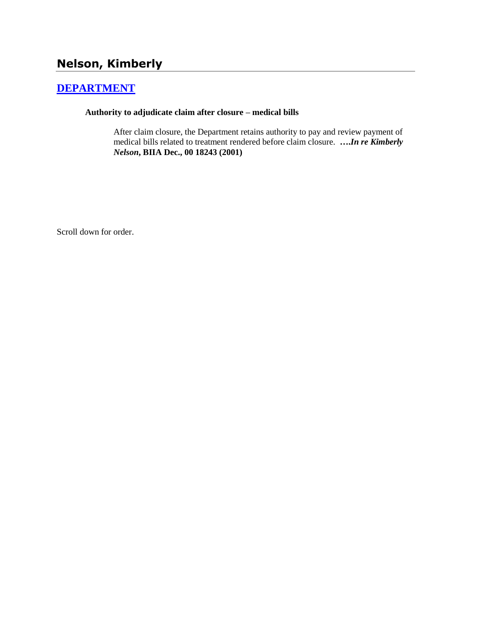# **[DEPARTMENT](http://www.biia.wa.gov/SDSubjectIndex.html#DEPARTMENT)**

#### **Authority to adjudicate claim after closure – medical bills**

After claim closure, the Department retains authority to pay and review payment of medical bills related to treatment rendered before claim closure. **….***In re Kimberly Nelson***, BIIA Dec., 00 18243 (2001)** 

Scroll down for order.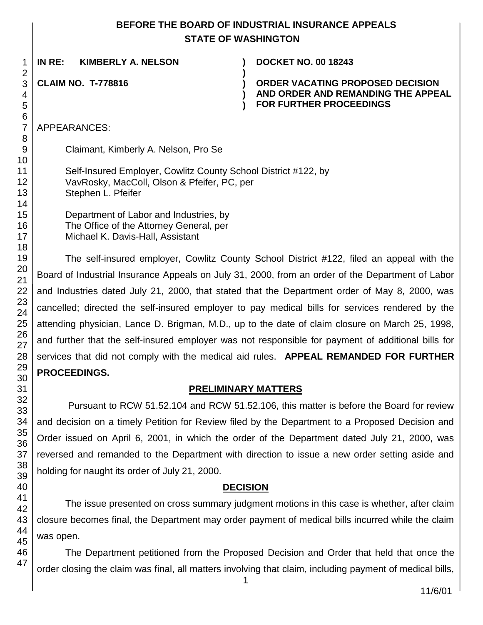## **BEFORE THE BOARD OF INDUSTRIAL INSURANCE APPEALS STATE OF WASHINGTON**

**)**

**) )**

**IN RE: KIMBERLY A. NELSON ) DOCKET NO. 00 18243**

**CLAIM NO. T-778816 )**

**ORDER VACATING PROPOSED DECISION AND ORDER AND REMANDING THE APPEAL FOR FURTHER PROCEEDINGS**

APPEARANCES:

Claimant, Kimberly A. Nelson, Pro Se

Self-Insured Employer, Cowlitz County School District #122, by VavRosky, MacColl, Olson & Pfeifer, PC, per Stephen L. Pfeifer

Department of Labor and Industries, by The Office of the Attorney General, per Michael K. Davis-Hall, Assistant

The self-insured employer, Cowlitz County School District #122, filed an appeal with the Board of Industrial Insurance Appeals on July 31, 2000, from an order of the Department of Labor and Industries dated July 21, 2000, that stated that the Department order of May 8, 2000, was cancelled; directed the self-insured employer to pay medical bills for services rendered by the attending physician, Lance D. Brigman, M.D., up to the date of claim closure on March 25, 1998, and further that the self-insured employer was not responsible for payment of additional bills for services that did not comply with the medical aid rules. **APPEAL REMANDED FOR FURTHER PROCEEDINGS.**

## **PRELIMINARY MATTERS**

Pursuant to RCW 51.52.104 and RCW 51.52.106, this matter is before the Board for review and decision on a timely Petition for Review filed by the Department to a Proposed Decision and Order issued on April 6, 2001, in which the order of the Department dated July 21, 2000, was reversed and remanded to the Department with direction to issue a new order setting aside and holding for naught its order of July 21, 2000.

## **DECISION**

The issue presented on cross summary judgment motions in this case is whether, after claim closure becomes final, the Department may order payment of medical bills incurred while the claim was open.

The Department petitioned from the Proposed Decision and Order that held that once the order closing the claim was final, all matters involving that claim, including payment of medical bills,

1

1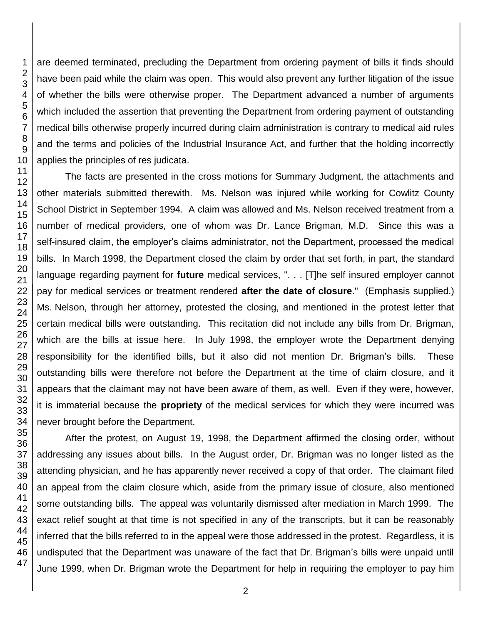are deemed terminated, precluding the Department from ordering payment of bills it finds should have been paid while the claim was open. This would also prevent any further litigation of the issue of whether the bills were otherwise proper. The Department advanced a number of arguments which included the assertion that preventing the Department from ordering payment of outstanding medical bills otherwise properly incurred during claim administration is contrary to medical aid rules and the terms and policies of the Industrial Insurance Act, and further that the holding incorrectly applies the principles of res judicata.

The facts are presented in the cross motions for Summary Judgment, the attachments and other materials submitted therewith. Ms. Nelson was injured while working for Cowlitz County School District in September 1994. A claim was allowed and Ms. Nelson received treatment from a number of medical providers, one of whom was Dr. Lance Brigman, M.D. Since this was a self-insured claim, the employer's claims administrator, not the Department, processed the medical bills. In March 1998, the Department closed the claim by order that set forth, in part, the standard language regarding payment for **future** medical services, ". . . [T]he self insured employer cannot pay for medical services or treatment rendered **after the date of closure**." (Emphasis supplied.) Ms. Nelson, through her attorney, protested the closing, and mentioned in the protest letter that certain medical bills were outstanding. This recitation did not include any bills from Dr. Brigman, which are the bills at issue here. In July 1998, the employer wrote the Department denying responsibility for the identified bills, but it also did not mention Dr. Brigman's bills. These outstanding bills were therefore not before the Department at the time of claim closure, and it appears that the claimant may not have been aware of them, as well. Even if they were, however, it is immaterial because the **propriety** of the medical services for which they were incurred was never brought before the Department.

After the protest, on August 19, 1998, the Department affirmed the closing order, without addressing any issues about bills. In the August order, Dr. Brigman was no longer listed as the attending physician, and he has apparently never received a copy of that order. The claimant filed an appeal from the claim closure which, aside from the primary issue of closure, also mentioned some outstanding bills. The appeal was voluntarily dismissed after mediation in March 1999. The exact relief sought at that time is not specified in any of the transcripts, but it can be reasonably inferred that the bills referred to in the appeal were those addressed in the protest. Regardless, it is undisputed that the Department was unaware of the fact that Dr. Brigman's bills were unpaid until June 1999, when Dr. Brigman wrote the Department for help in requiring the employer to pay him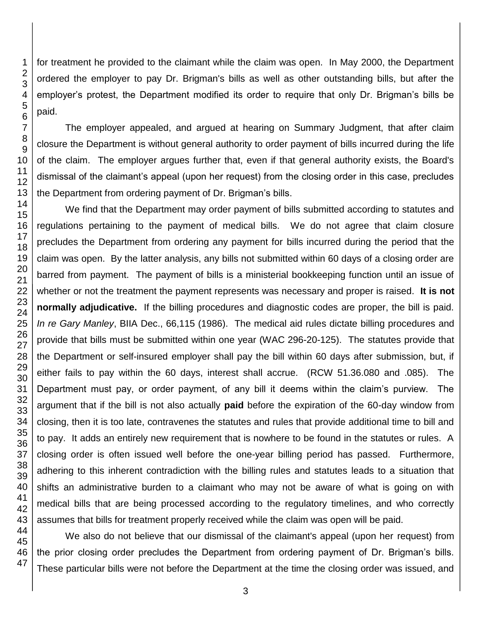for treatment he provided to the claimant while the claim was open. In May 2000, the Department ordered the employer to pay Dr. Brigman's bills as well as other outstanding bills, but after the employer's protest, the Department modified its order to require that only Dr. Brigman's bills be paid.

The employer appealed, and argued at hearing on Summary Judgment, that after claim closure the Department is without general authority to order payment of bills incurred during the life of the claim. The employer argues further that, even if that general authority exists, the Board's dismissal of the claimant's appeal (upon her request) from the closing order in this case, precludes the Department from ordering payment of Dr. Brigman's bills.

We find that the Department may order payment of bills submitted according to statutes and regulations pertaining to the payment of medical bills. We do not agree that claim closure precludes the Department from ordering any payment for bills incurred during the period that the claim was open. By the latter analysis, any bills not submitted within 60 days of a closing order are barred from payment. The payment of bills is a ministerial bookkeeping function until an issue of whether or not the treatment the payment represents was necessary and proper is raised. **It is not normally adjudicative.** If the billing procedures and diagnostic codes are proper, the bill is paid. *In re Gary Manley*, BIIA Dec., 66,115 (1986). The medical aid rules dictate billing procedures and provide that bills must be submitted within one year (WAC 296-20-125). The statutes provide that the Department or self-insured employer shall pay the bill within 60 days after submission, but, if either fails to pay within the 60 days, interest shall accrue. (RCW 51.36.080 and .085). The Department must pay, or order payment, of any bill it deems within the claim's purview. The argument that if the bill is not also actually **paid** before the expiration of the 60-day window from closing, then it is too late, contravenes the statutes and rules that provide additional time to bill and to pay. It adds an entirely new requirement that is nowhere to be found in the statutes or rules. A closing order is often issued well before the one-year billing period has passed. Furthermore, adhering to this inherent contradiction with the billing rules and statutes leads to a situation that shifts an administrative burden to a claimant who may not be aware of what is going on with medical bills that are being processed according to the regulatory timelines, and who correctly assumes that bills for treatment properly received while the claim was open will be paid.

We also do not believe that our dismissal of the claimant's appeal (upon her request) from the prior closing order precludes the Department from ordering payment of Dr. Brigman's bills. These particular bills were not before the Department at the time the closing order was issued, and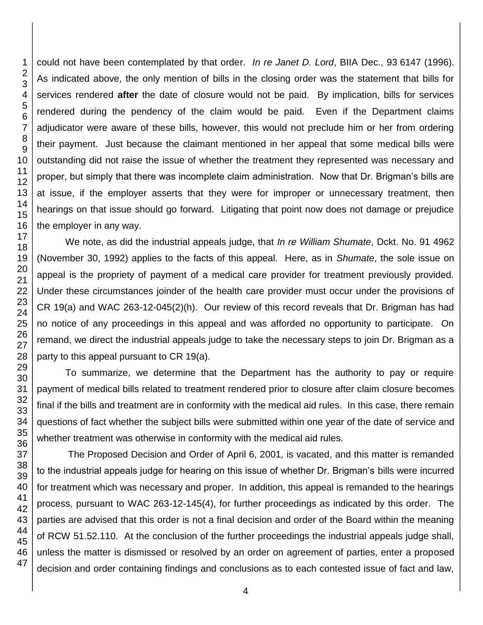could not have been contemplated by that order. *In re Janet D. Lord*, BIIA Dec., 93 6147 (1996). As indicated above, the only mention of bills in the closing order was the statement that bills for services rendered **after** the date of closure would not be paid. By implication, bills for services rendered during the pendency of the claim would be paid. Even if the Department claims adjudicator were aware of these bills, however, this would not preclude him or her from ordering their payment. Just because the claimant mentioned in her appeal that some medical bills were outstanding did not raise the issue of whether the treatment they represented was necessary and proper, but simply that there was incomplete claim administration. Now that Dr. Brigman's bills are at issue, if the employer asserts that they were for improper or unnecessary treatment, then hearings on that issue should go forward. Litigating that point now does not damage or prejudice the employer in any way.

We note, as did the industrial appeals judge, that *In re William Shumate*, Dckt. No. 91 4962 (November 30, 1992) applies to the facts of this appeal. Here, as in *Shumate*, the sole issue on appeal is the propriety of payment of a medical care provider for treatment previously provided. Under these circumstances joinder of the health care provider must occur under the provisions of CR 19(a) and WAC 263-12-045(2)(h). Our review of this record reveals that Dr. Brigman has had no notice of any proceedings in this appeal and was afforded no opportunity to participate. On remand, we direct the industrial appeals judge to take the necessary steps to join Dr. Brigman as a party to this appeal pursuant to CR 19(a).

To summarize, we determine that the Department has the authority to pay or require payment of medical bills related to treatment rendered prior to closure after claim closure becomes final if the bills and treatment are in conformity with the medical aid rules. In this case, there remain questions of fact whether the subject bills were submitted within one year of the date of service and whether treatment was otherwise in conformity with the medical aid rules.

The Proposed Decision and Order of April 6, 2001, is vacated, and this matter is remanded to the industrial appeals judge for hearing on this issue of whether Dr. Brigman's bills were incurred for treatment which was necessary and proper. In addition, this appeal is remanded to the hearings process, pursuant to WAC 263-12-145(4), for further proceedings as indicated by this order. The parties are advised that this order is not a final decision and order of the Board within the meaning of RCW 51.52.110. At the conclusion of the further proceedings the industrial appeals judge shall, unless the matter is dismissed or resolved by an order on agreement of parties, enter a proposed decision and order containing findings and conclusions as to each contested issue of fact and law,